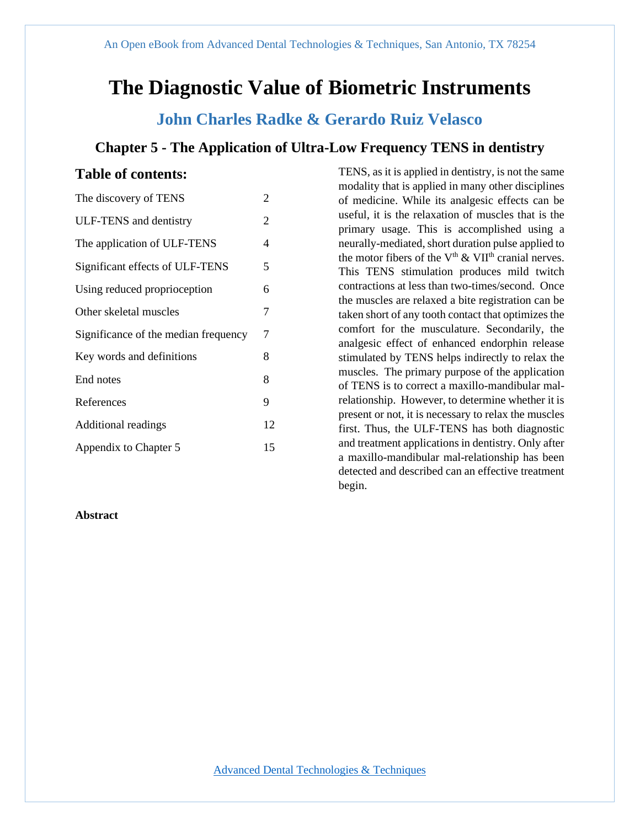# **The Diagnostic Value of Biometric Instruments**

## **John Charles Radke & Gerardo Ruiz Velasco**

## **Chapter 5 - The Application of Ultra-Low Frequency TENS in dentistry**

## **Table of contents:**

| The discovery of TENS                | 2  |
|--------------------------------------|----|
| ULF-TENS and dentistry               | 2  |
| The application of ULF-TENS          | 4  |
| Significant effects of ULF-TENS      | 5  |
| Using reduced proprioception         | 6  |
| Other skeletal muscles               | 7  |
| Significance of the median frequency | 7  |
| Key words and definitions            | 8  |
| End notes                            | 8  |
| References                           | 9  |
| <b>Additional readings</b>           | 12 |
| Appendix to Chapter 5                | 15 |

## **Abstract**

TENS, as it is applied in dentistry, is not the same modality that is applied in many other disciplines of medicine. While its analgesic effects can be useful, it is the relaxation of muscles that is the primary usage. This is accomplished using a neurally-mediated, short duration pulse applied to the motor fibers of the  $V<sup>th</sup>$  & VII<sup>th</sup> cranial nerves. This TENS stimulation produces mild twitch contractions at less than two-times/second. Once the muscles are relaxed a bite registration can be taken short of any tooth contact that optimizes the comfort for the musculature. Secondarily, the analgesic effect of enhanced endorphin release stimulated by TENS helps indirectly to relax the muscles. The primary purpose of the application of TENS is to correct a maxillo-mandibular malrelationship. However, to determine whether it is present or not, it is necessary to relax the muscles first. Thus, the ULF-TENS has both diagnostic and treatment applications in dentistry. Only after a maxillo-mandibular mal-relationship has been detected and described can an effective treatment begin.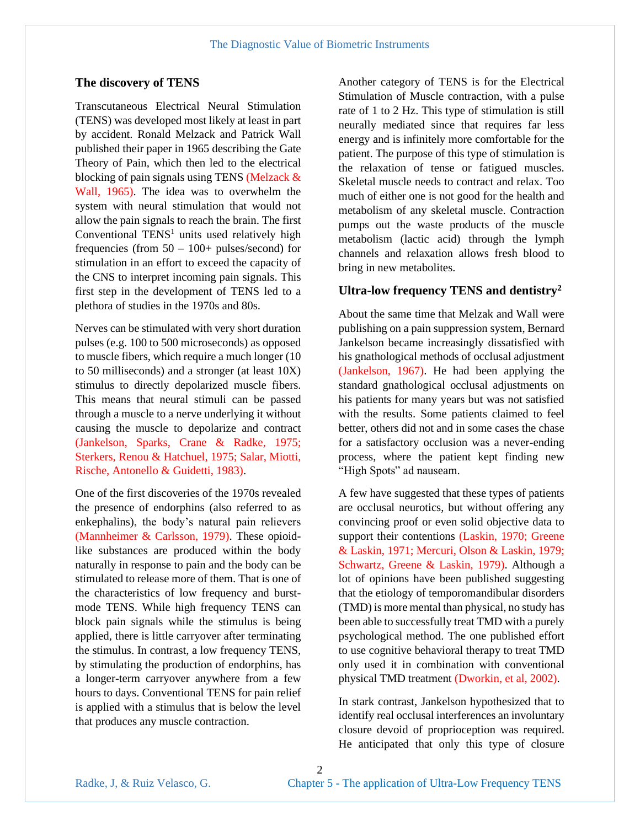#### **The discovery of TENS**

Transcutaneous Electrical Neural Stimulation (TENS) was developed most likely at least in part by accident. Ronald Melzack and Patrick Wall published their paper in 1965 describing the Gate Theory of Pain, which then led to the electrical blocking of pain signals using TENS (Melzack & Wall, 1965). The idea was to overwhelm the system with neural stimulation that would not allow the pain signals to reach the brain. The first Conventional  $TENS<sup>1</sup>$  units used relatively high frequencies (from  $50 - 100+$  pulses/second) for stimulation in an effort to exceed the capacity of the CNS to interpret incoming pain signals. This first step in the development of TENS led to a plethora of studies in the 1970s and 80s.

Nerves can be stimulated with very short duration pulses (e.g. 100 to 500 microseconds) as opposed to muscle fibers, which require a much longer (10 to 50 milliseconds) and a stronger (at least 10X) stimulus to directly depolarized muscle fibers. This means that neural stimuli can be passed through a muscle to a nerve underlying it without causing the muscle to depolarize and contract (Jankelson, Sparks, Crane & Radke, 1975; Sterkers, Renou & Hatchuel, 1975; Salar, Miotti, Rische, Antonello & Guidetti, 1983).

One of the first discoveries of the 1970s revealed the presence of endorphins (also referred to as enkephalins), the body's natural pain relievers (Mannheimer & Carlsson, 1979). These opioidlike substances are produced within the body naturally in response to pain and the body can be stimulated to release more of them. That is one of the characteristics of low frequency and burstmode TENS. While high frequency TENS can block pain signals while the stimulus is being applied, there is little carryover after terminating the stimulus. In contrast, a low frequency TENS, by stimulating the production of endorphins, has a longer-term carryover anywhere from a few hours to days. Conventional TENS for pain relief is applied with a stimulus that is below the level that produces any muscle contraction.

Another category of TENS is for the Electrical Stimulation of Muscle contraction, with a pulse rate of 1 to 2 Hz. This type of stimulation is still neurally mediated since that requires far less energy and is infinitely more comfortable for the patient. The purpose of this type of stimulation is the relaxation of tense or fatigued muscles. Skeletal muscle needs to contract and relax. Too much of either one is not good for the health and metabolism of any skeletal muscle. Contraction pumps out the waste products of the muscle metabolism (lactic acid) through the lymph channels and relaxation allows fresh blood to bring in new metabolites.

### **Ultra-low frequency TENS and dentistry<sup>2</sup>**

About the same time that Melzak and Wall were publishing on a pain suppression system, Bernard Jankelson became increasingly dissatisfied with his gnathological methods of occlusal adjustment (Jankelson, 1967). He had been applying the standard gnathological occlusal adjustments on his patients for many years but was not satisfied with the results. Some patients claimed to feel better, others did not and in some cases the chase for a satisfactory occlusion was a never-ending process, where the patient kept finding new "High Spots" ad nauseam.

A few have suggested that these types of patients are occlusal neurotics, but without offering any convincing proof or even solid objective data to support their contentions (Laskin, 1970; Greene & Laskin, 1971; Mercuri, Olson & Laskin, 1979; Schwartz, Greene & Laskin, 1979). Although a lot of opinions have been published suggesting that the etiology of temporomandibular disorders (TMD) is more mental than physical, no study has been able to successfully treat TMD with a purely psychological method. The one published effort to use cognitive behavioral therapy to treat TMD only used it in combination with conventional physical TMD treatment (Dworkin, et al, 2002).

In stark contrast, Jankelson hypothesized that to identify real occlusal interferences an involuntary closure devoid of proprioception was required. He anticipated that only this type of closure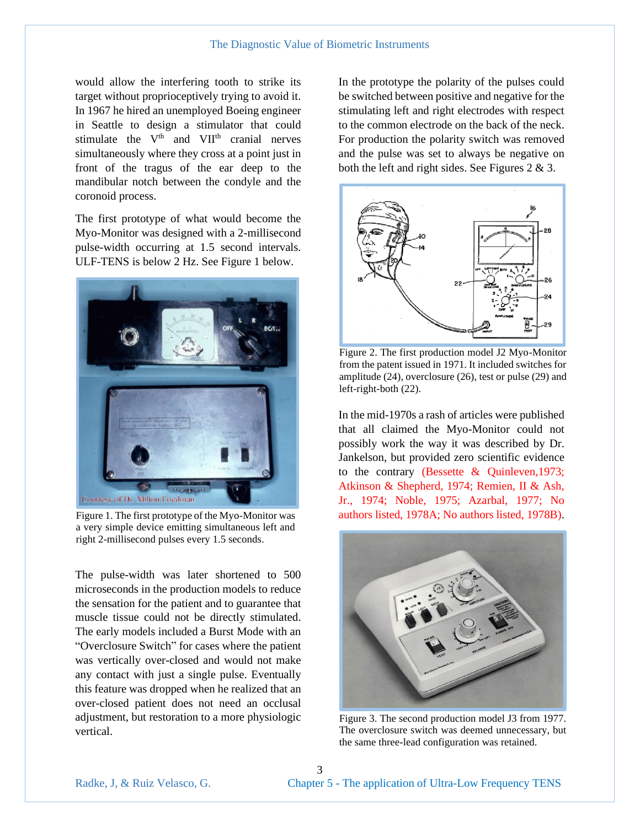would allow the interfering tooth to strike its target without proprioceptively trying to avoid it. In 1967 he hired an unemployed Boeing engineer in Seattle to design a stimulator that could stimulate the  $V<sup>th</sup>$  and  $VII<sup>th</sup>$  cranial nerves simultaneously where they cross at a point just in front of the tragus of the ear deep to the mandibular notch between the condyle and the coronoid process.

The first prototype of what would become the Myo-Monitor was designed with a 2-millisecond pulse-width occurring at 1.5 second intervals. ULF-TENS is below 2 Hz. See Figure 1 below.



Figure 1. The first prototype of the Myo-Monitor was a very simple device emitting simultaneous left and right 2-millisecond pulses every 1.5 seconds.

The pulse-width was later shortened to 500 microseconds in the production models to reduce the sensation for the patient and to guarantee that muscle tissue could not be directly stimulated. The early models included a Burst Mode with an "Overclosure Switch" for cases where the patient was vertically over-closed and would not make any contact with just a single pulse. Eventually this feature was dropped when he realized that an over-closed patient does not need an occlusal adjustment, but restoration to a more physiologic vertical.

In the prototype the polarity of the pulses could be switched between positive and negative for the stimulating left and right electrodes with respect to the common electrode on the back of the neck. For production the polarity switch was removed and the pulse was set to always be negative on both the left and right sides. See Figures 2 & 3.



Figure 2. The first production model J2 Myo-Monitor from the patent issued in 1971. It included switches for amplitude (24), overclosure (26), test or pulse (29) and left-right-both (22).

In the mid-1970s a rash of articles were published that all claimed the Myo-Monitor could not possibly work the way it was described by Dr. Jankelson, but provided zero scientific evidence to the contrary (Bessette & Quinleven,1973; Atkinson & Shepherd, 1974; Remien, II & Ash, Jr., 1974; Noble, 1975; Azarbal, 1977; No authors listed, 1978A; No authors listed, 1978B).



Figure 3. The second production model J3 from 1977. The overclosure switch was deemed unnecessary, but the same three-lead configuration was retained.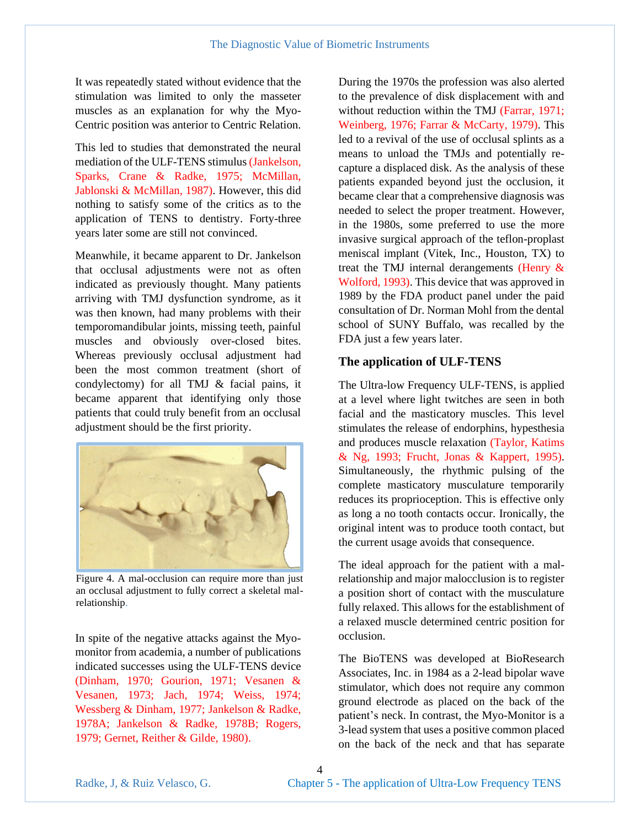It was repeatedly stated without evidence that the stimulation was limited to only the masseter muscles as an explanation for why the Myo-Centric position was anterior to Centric Relation.

This led to studies that demonstrated the neural mediation of the ULF-TENS stimulus (Jankelson, Sparks, Crane & Radke, 1975; McMillan, Jablonski & McMillan, 1987). However, this did nothing to satisfy some of the critics as to the application of TENS to dentistry. Forty-three years later some are still not convinced.

Meanwhile, it became apparent to Dr. Jankelson that occlusal adjustments were not as often indicated as previously thought. Many patients arriving with TMJ dysfunction syndrome, as it was then known, had many problems with their temporomandibular joints, missing teeth, painful muscles and obviously over-closed bites. Whereas previously occlusal adjustment had been the most common treatment (short of condylectomy) for all TMJ & facial pains, it became apparent that identifying only those patients that could truly benefit from an occlusal adjustment should be the first priority.



Figure 4. A mal-occlusion can require more than just an occlusal adjustment to fully correct a skeletal malrelationship.

In spite of the negative attacks against the Myomonitor from academia, a number of publications indicated successes using the ULF-TENS device (Dinham, 1970; Gourion, 1971; Vesanen & Vesanen, 1973; Jach, 1974; Weiss, 1974; Wessberg & Dinham, 1977; Jankelson & Radke, 1978A; Jankelson & Radke, 1978B; Rogers, 1979; Gernet, Reither & Gilde, 1980).

During the 1970s the profession was also alerted to the prevalence of disk displacement with and without reduction within the TMJ (Farrar, 1971; Weinberg, 1976; Farrar & McCarty, 1979). This led to a revival of the use of occlusal splints as a means to unload the TMJs and potentially recapture a displaced disk. As the analysis of these patients expanded beyond just the occlusion, it became clear that a comprehensive diagnosis was needed to select the proper treatment. However, in the 1980s, some preferred to use the more invasive surgical approach of the teflon-proplast meniscal implant (Vitek, Inc., Houston, TX) to treat the TMJ internal derangements (Henry & Wolford, 1993). This device that was approved in 1989 by the FDA product panel under the paid consultation of Dr. Norman Mohl from the dental school of SUNY Buffalo, was recalled by the FDA just a few years later.

## **The application of ULF-TENS**

The Ultra-low Frequency ULF-TENS, is applied at a level where light twitches are seen in both facial and the masticatory muscles. This level stimulates the release of endorphins, hypesthesia and produces muscle relaxation (Taylor, Katims & Ng, 1993; Frucht, Jonas & Kappert, 1995). Simultaneously, the rhythmic pulsing of the complete masticatory musculature temporarily reduces its proprioception. This is effective only as long a no tooth contacts occur. Ironically, the original intent was to produce tooth contact, but the current usage avoids that consequence.

The ideal approach for the patient with a malrelationship and major malocclusion is to register a position short of contact with the musculature fully relaxed. This allows for the establishment of a relaxed muscle determined centric position for occlusion.

The BioTENS was developed at BioResearch Associates, Inc. in 1984 as a 2-lead bipolar wave stimulator, which does not require any common ground electrode as placed on the back of the patient's neck. In contrast, the Myo-Monitor is a 3-lead system that uses a positive common placed on the back of the neck and that has separate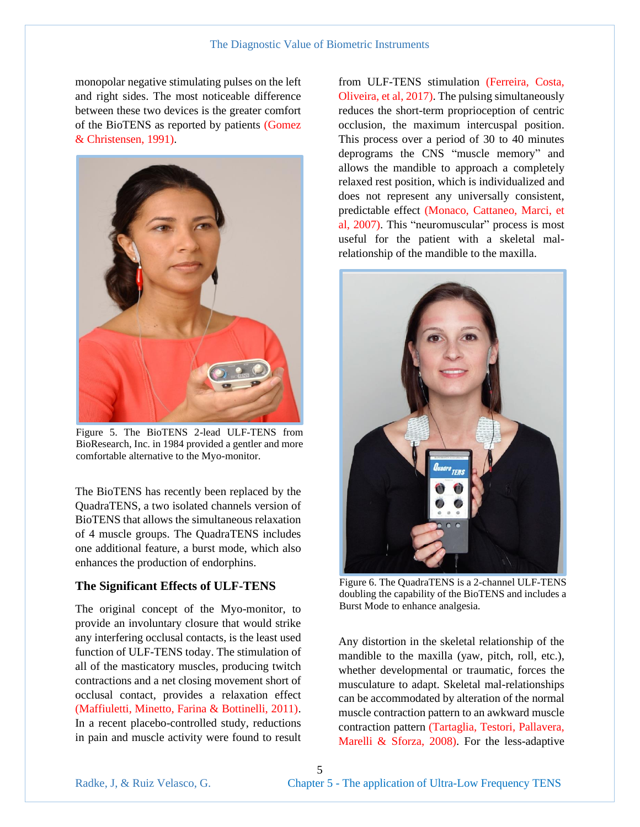monopolar negative stimulating pulses on the left and right sides. The most noticeable difference between these two devices is the greater comfort of the BioTENS as reported by patients (Gomez & Christensen, 1991).



Figure 5. The BioTENS 2-lead ULF-TENS from BioResearch, Inc. in 1984 provided a gentler and more comfortable alternative to the Myo-monitor.

The BioTENS has recently been replaced by the QuadraTENS, a two isolated channels version of BioTENS that allows the simultaneous relaxation of 4 muscle groups. The QuadraTENS includes one additional feature, a burst mode, which also enhances the production of endorphins.

## **The Significant Effects of ULF-TENS**

The original concept of the Myo-monitor, to provide an involuntary closure that would strike any interfering occlusal contacts, is the least used function of ULF-TENS today. The stimulation of all of the masticatory muscles, producing twitch contractions and a net closing movement short of occlusal contact, provides a relaxation effect (Maffiuletti, Minetto, Farina & Bottinelli, 2011). In a recent placebo-controlled study, reductions in pain and muscle activity were found to result

from ULF-TENS stimulation (Ferreira, Costa, Oliveira, et al, 2017). The pulsing simultaneously reduces the short-term proprioception of centric occlusion, the maximum intercuspal position. This process over a period of 30 to 40 minutes deprograms the CNS "muscle memory" and allows the mandible to approach a completely relaxed rest position, which is individualized and does not represent any universally consistent, predictable effect (Monaco, Cattaneo, Marci, et al, 2007). This "neuromuscular" process is most useful for the patient with a skeletal malrelationship of the mandible to the maxilla.



Figure 6. The QuadraTENS is a 2-channel ULF-TENS doubling the capability of the BioTENS and includes a Burst Mode to enhance analgesia.

Any distortion in the skeletal relationship of the mandible to the maxilla (yaw, pitch, roll, etc.), whether developmental or traumatic, forces the musculature to adapt. Skeletal mal-relationships can be accommodated by alteration of the normal muscle contraction pattern to an awkward muscle contraction pattern (Tartaglia, Testori, Pallavera, Marelli & Sforza, 2008). For the less-adaptive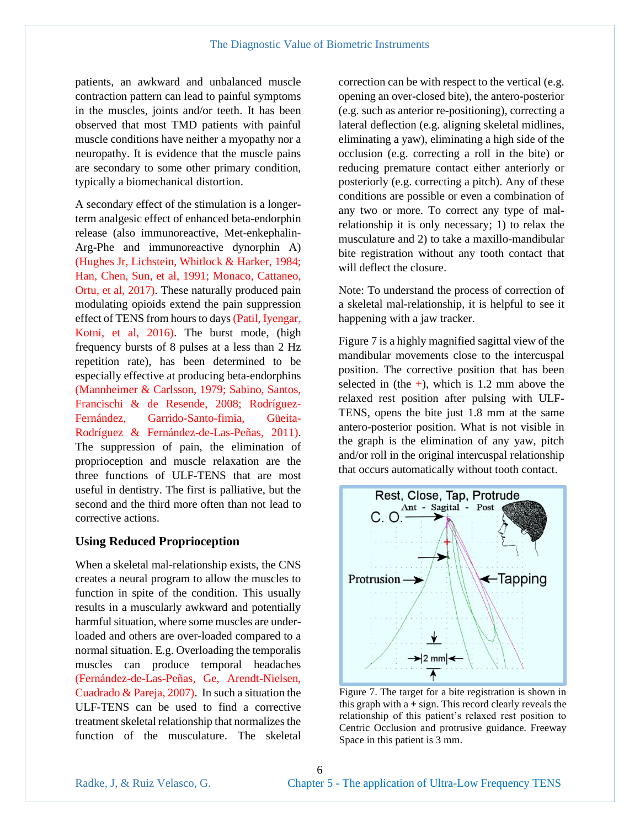patients, an awkward and unbalanced muscle contraction pattern can lead to painful symptoms in the muscles, joints and/or teeth. It has been observed that most TMD patients with painful muscle conditions have neither a myopathy nor a neuropathy. It is evidence that the muscle pains are secondary to some other primary condition, typically a biomechanical distortion.

A secondary effect of the stimulation is a longerterm analgesic effect of enhanced beta-endorphin release (also immunoreactive, Met-enkephalin-Arg-Phe and immunoreactive dynorphin A) (Hughes Jr, Lichstein, Whitlock & Harker, 1984; Han, Chen, Sun, et al, 1991; Monaco, Cattaneo, Ortu, et al, 2017). These naturally produced pain modulating opioids extend the pain suppression effect of TENS from hours to days(Patil, Iyengar, Kotni, et al, 2016). The burst mode, (high frequency bursts of 8 pulses at a less than 2 Hz repetition rate), has been determined to be especially effective at producing beta-endorphins (Mannheimer & Carlsson, 1979; Sabino, Santos, Francischi & de Resende, 2008; Rodríguez-Fernández, Garrido-Santo-fimia, Güeita-Rodríguez & Fernández-de-Las-Peñas, 2011). The suppression of pain, the elimination of proprioception and muscle relaxation are the three functions of ULF-TENS that are most useful in dentistry. The first is palliative, but the second and the third more often than not lead to corrective actions.

#### **Using Reduced Proprioception**

When a skeletal mal-relationship exists, the CNS creates a neural program to allow the muscles to function in spite of the condition. This usually results in a muscularly awkward and potentially harmful situation, where some muscles are underloaded and others are over-loaded compared to a normal situation. E.g. Overloading the temporalis muscles can produce temporal headaches (Fernández-de-Las-Peñas, Ge, Arendt-Nielsen, Cuadrado & Pareja, 2007). In such a situation the ULF-TENS can be used to find a corrective treatment skeletal relationship that normalizes the function of the musculature. The skeletal

correction can be with respect to the vertical (e.g. opening an over-closed bite), the antero-posterior (e.g. such as anterior re-positioning), correcting a lateral deflection (e.g. aligning skeletal midlines, eliminating a yaw), eliminating a high side of the occlusion (e.g. correcting a roll in the bite) or reducing premature contact either anteriorly or posteriorly (e.g. correcting a pitch). Any of these conditions are possible or even a combination of any two or more. To correct any type of malrelationship it is only necessary; 1) to relax the musculature and 2) to take a maxillo-mandibular bite registration without any tooth contact that will deflect the closure.

Note: To understand the process of correction of a skeletal mal-relationship, it is helpful to see it happening with a jaw tracker.

Figure 7 is a highly magnified sagittal view of the mandibular movements close to the intercuspal position. The corrective position that has been selected in (the **+**), which is 1.2 mm above the relaxed rest position after pulsing with ULF-TENS, opens the bite just 1.8 mm at the same antero-posterior position. What is not visible in the graph is the elimination of any yaw, pitch and/or roll in the original intercuspal relationship that occurs automatically without tooth contact.



Figure 7. The target for a bite registration is shown in this graph with a **+** sign. This record clearly reveals the relationship of this patient's relaxed rest position to Centric Occlusion and protrusive guidance. Freeway Space in this patient is 3 mm.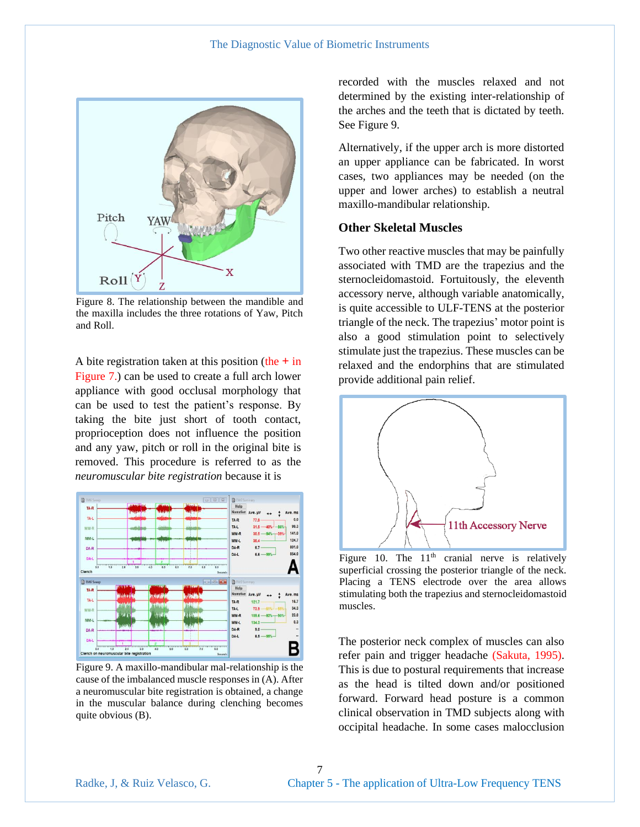#### The Diagnostic Value of Biometric Instruments



Figure 8. The relationship between the mandible and the maxilla includes the three rotations of Yaw, Pitch and Roll.

A bite registration taken at this position (the **+** in Figure 7.) can be used to create a full arch lower appliance with good occlusal morphology that can be used to test the patient's response. By taking the bite just short of tooth contact, proprioception does not influence the position and any yaw, pitch or roll in the original bite is removed. This procedure is referred to as the *neuromuscular bite registration* because it is



Figure 9. A maxillo-mandibular mal-relationship is the cause of the imbalanced muscle responses in (A). After a neuromuscular bite registration is obtained, a change in the muscular balance during clenching becomes quite obvious (B).

recorded with the muscles relaxed and not determined by the existing inter-relationship of the arches and the teeth that is dictated by teeth. See Figure 9.

Alternatively, if the upper arch is more distorted an upper appliance can be fabricated. In worst cases, two appliances may be needed (on the upper and lower arches) to establish a neutral maxillo-mandibular relationship.

### **Other Skeletal Muscles**

Two other reactive muscles that may be painfully associated with TMD are the trapezius and the sternocleidomastoid. Fortuitously, the eleventh accessory nerve, although variable anatomically, is quite accessible to ULF-TENS at the posterior triangle of the neck. The trapezius' motor point is also a good stimulation point to selectively stimulate just the trapezius. These muscles can be relaxed and the endorphins that are stimulated provide additional pain relief.



Figure 10. The  $11<sup>th</sup>$  cranial nerve is relatively superficial crossing the posterior triangle of the neck. Placing a TENS electrode over the area allows stimulating both the trapezius and sternocleidomastoid muscles.

The posterior neck complex of muscles can also refer pain and trigger headache (Sakuta, 1995). This is due to postural requirements that increase as the head is tilted down and/or positioned forward. Forward head posture is a common clinical observation in TMD subjects along with occipital headache. In some cases malocclusion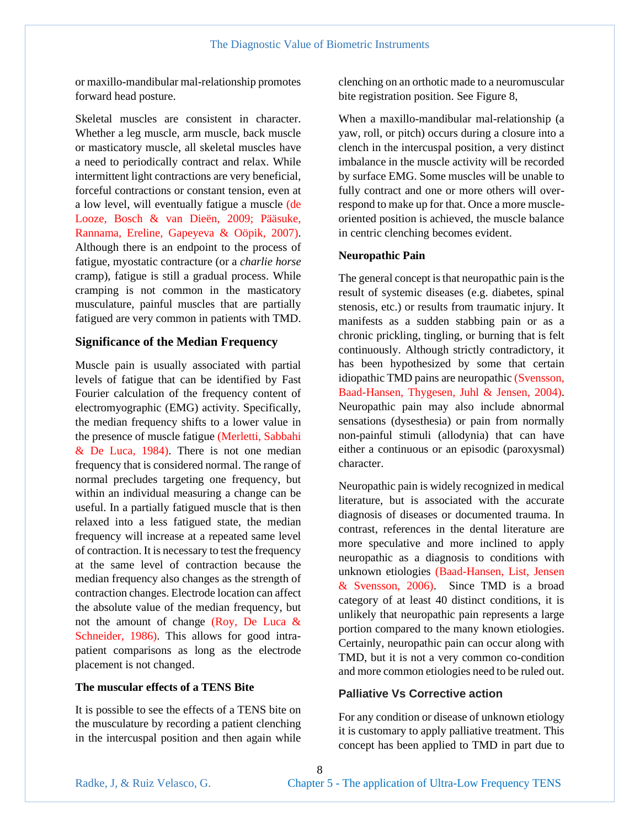or maxillo-mandibular mal-relationship promotes forward head posture.

Skeletal muscles are consistent in character. Whether a leg muscle, arm muscle, back muscle or masticatory muscle, all skeletal muscles have a need to periodically contract and relax. While intermittent light contractions are very beneficial, forceful contractions or constant tension, even at a low level, will eventually fatigue a muscle (de Looze, Bosch & van Dieën, 2009; Pääsuke, Rannama, Ereline, Gapeyeva & Oöpik, 2007). Although there is an endpoint to the process of fatigue, myostatic contracture (or a *charlie horse* cramp), fatigue is still a gradual process. While cramping is not common in the masticatory musculature, painful muscles that are partially fatigued are very common in patients with TMD.

#### **Significance of the Median Frequency**

Muscle pain is usually associated with partial levels of fatigue that can be identified by Fast Fourier calculation of the frequency content of electromyographic (EMG) activity. Specifically, the median frequency shifts to a lower value in the presence of muscle fatigue (Merletti, Sabbahi & De Luca, 1984). There is not one median frequency that is considered normal. The range of normal precludes targeting one frequency, but within an individual measuring a change can be useful. In a partially fatigued muscle that is then relaxed into a less fatigued state, the median frequency will increase at a repeated same level of contraction. It is necessary to test the frequency at the same level of contraction because the median frequency also changes as the strength of contraction changes. Electrode location can affect the absolute value of the median frequency, but not the amount of change (Roy, De Luca  $\&$ Schneider, 1986). This allows for good intrapatient comparisons as long as the electrode placement is not changed.

### **The muscular effects of a TENS Bite**

It is possible to see the effects of a TENS bite on the musculature by recording a patient clenching in the intercuspal position and then again while

clenching on an orthotic made to a neuromuscular bite registration position. See Figure 8,

When a maxillo-mandibular mal-relationship (a yaw, roll, or pitch) occurs during a closure into a clench in the intercuspal position, a very distinct imbalance in the muscle activity will be recorded by surface EMG. Some muscles will be unable to fully contract and one or more others will overrespond to make up for that. Once a more muscleoriented position is achieved, the muscle balance in centric clenching becomes evident.

#### **Neuropathic Pain**

The general concept is that neuropathic pain is the result of systemic diseases (e.g. diabetes, spinal stenosis, etc.) or results from traumatic injury. It manifests as a sudden stabbing pain or as a chronic prickling, tingling, or burning that is felt continuously. Although strictly contradictory, it has been hypothesized by some that certain idiopathic TMD pains are neuropathic (Svensson, Baad-Hansen, Thygesen, Juhl & Jensen, 2004). Neuropathic pain may also include abnormal sensations (dysesthesia) or pain from normally non-painful stimuli (allodynia) that can have either a continuous or an episodic (paroxysmal) character.

Neuropathic pain is widely recognized in medical literature, but is associated with the accurate diagnosis of diseases or documented trauma. In contrast, references in the dental literature are more speculative and more inclined to apply neuropathic as a diagnosis to conditions with unknown etiologies (Baad-Hansen, List, Jensen & Svensson, 2006). Since TMD is a broad category of at least 40 distinct conditions, it is unlikely that neuropathic pain represents a large portion compared to the many known etiologies. Certainly, neuropathic pain can occur along with TMD, but it is not a very common co-condition and more common etiologies need to be ruled out.

## **Palliative Vs Corrective action**

For any condition or disease of unknown etiology it is customary to apply palliative treatment. This concept has been applied to TMD in part due to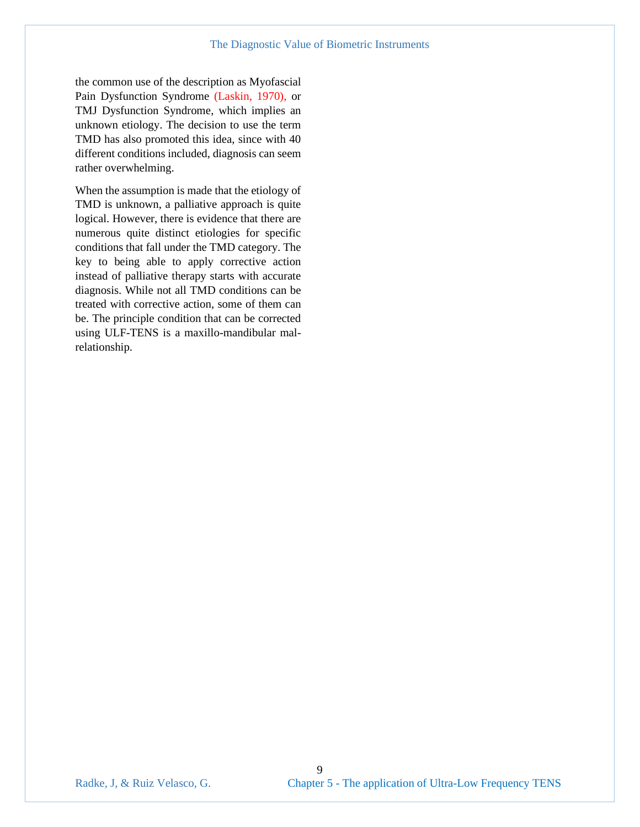the common use of the description as Myofascial Pain Dysfunction Syndrome (Laskin, 1970), or TMJ Dysfunction Syndrome, which implies an unknown etiology. The decision to use the term TMD has also promoted this idea, since with 40 different conditions included, diagnosis can seem rather overwhelming.

When the assumption is made that the etiology of TMD is unknown, a palliative approach is quite logical. However, there is evidence that there are numerous quite distinct etiologies for specific conditions that fall under the TMD category. The key to being able to apply corrective action instead of palliative therapy starts with accurate diagnosis. While not all TMD conditions can be treated with corrective action, some of them can be. The principle condition that can be corrected using ULF-TENS is a maxillo-mandibular malrelationship.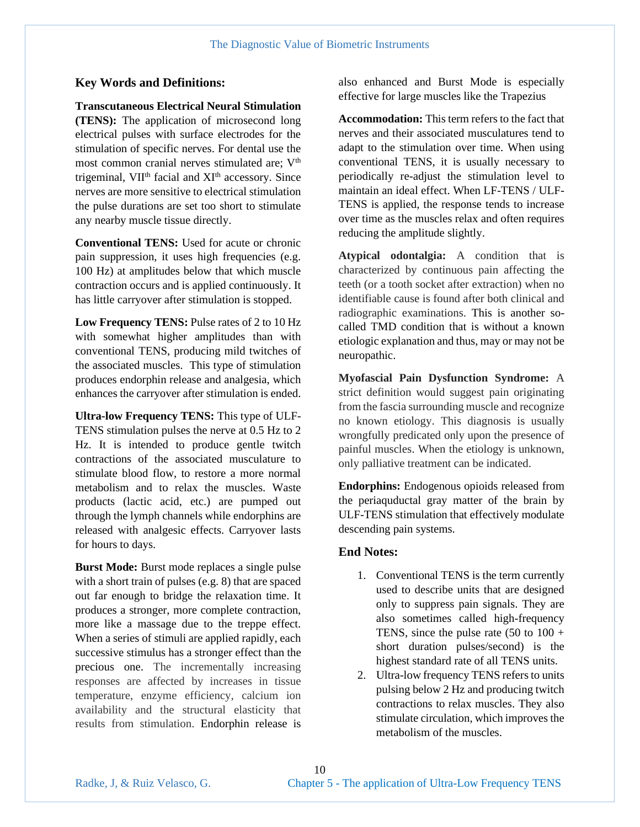## **Key Words and Definitions:**

#### **Transcutaneous Electrical Neural Stimulation**

**(TENS):** The application of microsecond long electrical pulses with surface electrodes for the stimulation of specific nerves. For dental use the most common cranial nerves stimulated are: V<sup>th</sup> trigeminal, VII<sup>th</sup> facial and XI<sup>th</sup> accessory. Since nerves are more sensitive to electrical stimulation the pulse durations are set too short to stimulate any nearby muscle tissue directly.

**Conventional TENS:** Used for acute or chronic pain suppression, it uses high frequencies (e.g. 100 Hz) at amplitudes below that which muscle contraction occurs and is applied continuously. It has little carryover after stimulation is stopped.

**Low Frequency TENS:** Pulse rates of 2 to 10 Hz with somewhat higher amplitudes than with conventional TENS, producing mild twitches of the associated muscles. This type of stimulation produces endorphin release and analgesia, which enhances the carryover after stimulation is ended.

**Ultra-low Frequency TENS:** This type of ULF-TENS stimulation pulses the nerve at 0.5 Hz to 2 Hz. It is intended to produce gentle twitch contractions of the associated musculature to stimulate blood flow, to restore a more normal metabolism and to relax the muscles. Waste products (lactic acid, etc.) are pumped out through the lymph channels while endorphins are released with analgesic effects. Carryover lasts for hours to days.

**Burst Mode:** Burst mode replaces a single pulse with a short train of pulses (e.g. 8) that are spaced out far enough to bridge the relaxation time. It produces a stronger, more complete contraction, more like a massage due to the treppe effect. When a series of stimuli are applied rapidly, each successive stimulus has a stronger effect than the precious one. The incrementally increasing responses are affected by increases in tissue temperature, enzyme efficiency, calcium ion availability and the structural elasticity that results from stimulation. Endorphin release is

also enhanced and Burst Mode is especially effective for large muscles like the Trapezius

**Accommodation:** This term refers to the fact that nerves and their associated musculatures tend to adapt to the stimulation over time. When using conventional TENS, it is usually necessary to periodically re-adjust the stimulation level to maintain an ideal effect. When LF-TENS / ULF-TENS is applied, the response tends to increase over time as the muscles relax and often requires reducing the amplitude slightly.

**Atypical odontalgia:** A condition that is characterized by continuous pain affecting the teeth (or a tooth socket after extraction) when no identifiable cause is found after both clinical and radiographic examinations. This is another socalled TMD condition that is without a known etiologic explanation and thus, may or may not be neuropathic.

**Myofascial Pain Dysfunction Syndrome:** A strict definition would suggest pain originating from the fascia surrounding muscle and recognize no known etiology. This diagnosis is usually wrongfully predicated only upon the presence of painful muscles. When the etiology is unknown, only palliative treatment can be indicated.

**Endorphins:** Endogenous opioids released from the periaquductal gray matter of the brain by ULF-TENS stimulation that effectively modulate descending pain systems.

## **End Notes:**

- 1. Conventional TENS is the term currently used to describe units that are designed only to suppress pain signals. They are also sometimes called high-frequency TENS, since the pulse rate  $(50 \text{ to } 100 +$ short duration pulses/second) is the highest standard rate of all TENS units.
- 2. Ultra-low frequency TENS refers to units pulsing below 2 Hz and producing twitch contractions to relax muscles. They also stimulate circulation, which improves the metabolism of the muscles.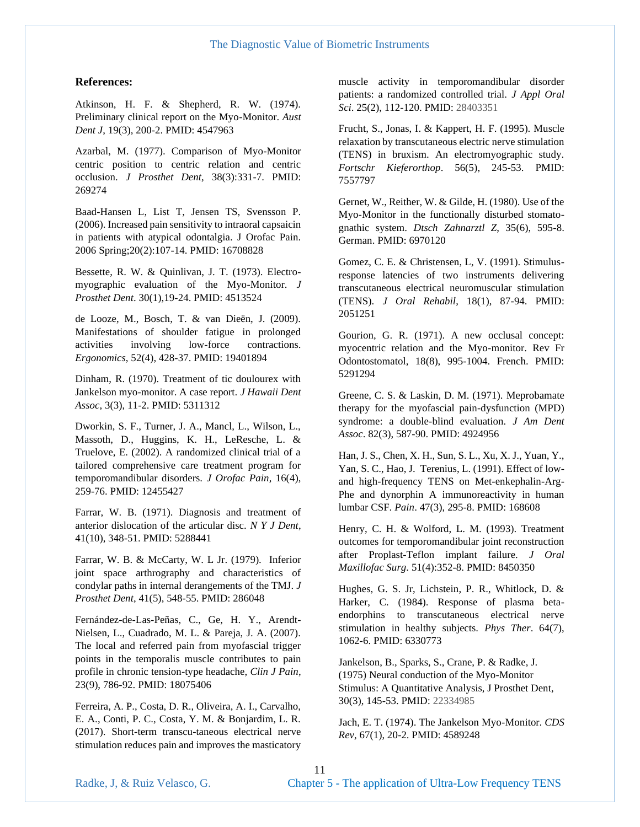#### **References:**

Atkinson, H. F. & Shepherd, R. W. (1974). Preliminary clinical report on the Myo-Monitor. *Aust Dent J*, 19(3), 200-2. PMID: 4547963

Azarbal, M. (1977). Comparison of Myo-Monitor centric position to centric relation and centric occlusion. *J Prosthet Dent*, 38(3):331-7. PMID: 269274

Baad-Hansen L, List T, Jensen TS, Svensson P. (2006). Increased pain sensitivity to intraoral capsaicin in patients with atypical odontalgia. J Orofac Pain. 2006 Spring;20(2):107-14. PMID: 16708828

Bessette, R. W. & Quinlivan, J. T. (1973). Electromyographic evaluation of the Myo-Monitor. *J Prosthet Dent*. 30(1),19-24. PMID: 4513524

de Looze, M., Bosch, T. & van Dieën, J. (2009). Manifestations of shoulder fatigue in prolonged activities involving low-force contractions. *Ergonomics*, 52(4), 428-37. PMID: 19401894

Dinham, R. (1970). Treatment of tic doulourex with Jankelson myo-monitor. A case report*. J Hawaii Dent Assoc*, 3(3), 11-2. PMID: 5311312

Dworkin, S. F., Turner, J. A., Mancl, L., Wilson, L., Massoth, D., Huggins, K. H., LeResche, L. & Truelove, E. (2002). A randomized clinical trial of a tailored comprehensive care treatment program for temporomandibular disorders. *J Orofac Pain*, 16(4), 259-76. PMID: 12455427

Farrar, W. B. (1971). Diagnosis and treatment of anterior dislocation of the articular disc. *N Y J Dent*, 41(10), 348-51. PMID: 5288441

Farrar, W. B. & McCarty, W. L Jr. (1979). Inferior joint space arthrography and characteristics of condylar paths in internal derangements of the TMJ. *J Prosthet Dent*, 41(5), 548-55. PMID: 286048

Fernández-de-Las-Peñas, C., Ge, H. Y., Arendt-Nielsen, L., Cuadrado, M. L. & Pareja, J. A. (2007). The local and referred pain from myofascial trigger points in the temporalis muscle contributes to pain profile in chronic tension-type headache, *Clin J Pain*, 23(9), 786-92. PMID: 18075406

Ferreira, A. P., Costa, D. R., Oliveira, A. I., Carvalho, E. A., Conti, P. C., Costa, Y. M. & Bonjardim, L. R. (2017). Short-term transcu-taneous electrical nerve stimulation reduces pain and improves the masticatory muscle activity in temporomandibular disorder patients: a randomized controlled trial. *J Appl Oral Sci*. 25(2), 112-120. PMID: 28403351

Frucht, S., Jonas, I. & Kappert, H. F. (1995). Muscle relaxation by transcutaneous electric nerve stimulation (TENS) in bruxism. An electromyographic study. *Fortschr Kieferorthop*. 56(5), 245-53. PMID: 7557797

Gernet, W., Reither, W. & Gilde, H. (1980). Use of the Myo-Monitor in the functionally disturbed stomatognathic system. *Dtsch Zahnarztl Z*, 35(6), 595-8. German. PMID: 6970120

Gomez, C. E. & Christensen, L, V. (1991). Stimulusresponse latencies of two instruments delivering transcutaneous electrical neuromuscular stimulation (TENS). *J Oral Rehabil*, 18(1), 87-94. PMID: 2051251

Gourion, G. R. (1971). A new occlusal concept: myocentric relation and the Myo-monitor. Rev Fr Odontostomatol, 18(8), 995-1004. French. PMID: 5291294

Greene, C. S. & Laskin, D. M. (1971). Meprobamate therapy for the myofascial pain-dysfunction (MPD) syndrome: a double-blind evaluation. *J Am Dent Assoc*. 82(3), 587-90. PMID: 4924956

Han, J. S., Chen, X. H., Sun, S. L., Xu, X. J., Yuan, Y., Yan, S. C., Hao, J. Terenius, L. (1991). Effect of lowand high-frequency TENS on Met-enkephalin-Arg-Phe and dynorphin A immunoreactivity in human lumbar CSF. *Pain*. 47(3), 295-8. PMID: 168608

Henry, C. H. & Wolford, L. M. (1993). Treatment outcomes for temporomandibular joint reconstruction after Proplast-Teflon implant failure. *J Oral Maxillofac Surg*. 51(4):352-8. PMID: 8450350

Hughes, G. S. Jr, Lichstein, P. R., Whitlock, D. & Harker, C. (1984). Response of plasma betaendorphins to transcutaneous electrical nerve stimulation in healthy subjects. *Phys Ther*. 64(7), 1062-6. PMID: 6330773

Jankelson, B., Sparks, S., Crane, P. & Radke, J. (1975) Neural conduction of the Myo-Monitor Stimulus: A Quantitative Analysis, J Prosthet Dent, 30(3), 145-53. PMID: 22334985

Jach, E. T. (1974). The Jankelson Myo-Monitor. *CDS Rev*, 67(1), 20-2. PMID: 4589248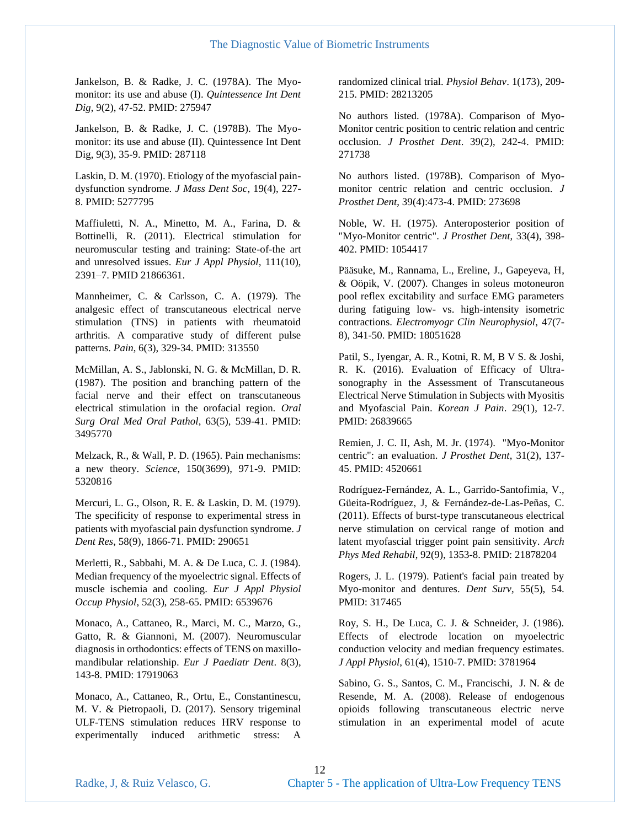Jankelson, B. & Radke, J. C. (1978A). The Myomonitor: its use and abuse (I). *Quintessence Int Dent Dig*, 9(2), 47-52. PMID: 275947

Jankelson, B. & Radke, J. C. (1978B). The Myomonitor: its use and abuse (II). Quintessence Int Dent Dig, 9(3), 35-9. PMID: 287118

Laskin, D. M. (1970). Etiology of the myofascial paindysfunction syndrome. *J Mass Dent Soc*, 19(4), 227- 8. PMID: 5277795

Maffiuletti, N. A., Minetto, M. A., Farina, D. & Bottinelli, R. (2011). Electrical stimulation for neuromuscular testing and training: State-of-the art and unresolved issues. *Eur J Appl Physiol,* 111(10), 2391–7. PMID 21866361.

Mannheimer, C. & Carlsson, C. A. (1979). The analgesic effect of transcutaneous electrical nerve stimulation (TNS) in patients with rheumatoid arthritis. A comparative study of different pulse patterns. *Pain*, 6(3), 329-34. PMID: 313550

McMillan, A. S., Jablonski, N. G. & McMillan, D. R. (1987). The position and branching pattern of the facial nerve and their effect on transcutaneous electrical stimulation in the orofacial region. *Oral Surg Oral Med Oral Pathol*, 63(5), 539-41. PMID: 3495770

Melzack, R., & Wall, P. D. (1965). Pain mechanisms: a new theory. *Science*, 150(3699), 971-9. PMID: 5320816

Mercuri, L. G., Olson, R. E. & Laskin, D. M. (1979). The specificity of response to experimental stress in patients with myofascial pain dysfunction syndrome. *J Dent Res*, 58(9), 1866-71. PMID: 290651

Merletti, R., Sabbahi, M. A. & De Luca, C. J. (1984). Median frequency of the myoelectric signal. Effects of muscle ischemia and cooling. *Eur J Appl Physiol Occup Physiol*, 52(3), 258-65. PMID: 6539676

Monaco, A., Cattaneo, R., Marci, M. C., Marzo, G., Gatto, R. & Giannoni, M. (2007). Neuromuscular diagnosis in orthodontics: effects of TENS on maxillomandibular relationship. *Eur J Paediatr Dent*. 8(3), 143-8. PMID: 17919063

Monaco, A., Cattaneo, R., Ortu, E., Constantinescu, M. V. & Pietropaoli, D. (2017). Sensory trigeminal ULF-TENS stimulation reduces HRV response to experimentally induced arithmetic stress: A

randomized clinical trial. *Physiol Behav*. 1(173), 209- 215. PMID: 28213205

No authors listed. (1978A). Comparison of Myo-Monitor centric position to centric relation and centric occlusion. *J Prosthet Dent*. 39(2), 242-4. PMID: 271738

No authors listed. (1978B). Comparison of Myomonitor centric relation and centric occlusion. *J Prosthet Dent*, 39(4):473-4. PMID: 273698

Noble, W. H. (1975). Anteroposterior position of "Myo-Monitor centric". *J Prosthet Dent*, 33(4), 398- 402. PMID: 1054417

Pääsuke, M., Rannama, L., Ereline, J., Gapeyeva, H, & Oöpik, V. (2007). Changes in soleus motoneuron pool reflex excitability and surface EMG parameters during fatiguing low- vs. high-intensity isometric contractions. *Electromyogr Clin Neurophysiol*, 47(7- 8), 341-50. PMID: 18051628

Patil, S., Iyengar, A. R., Kotni, R. M, B V S. & Joshi, R. K. (2016). Evaluation of Efficacy of Ultrasonography in the Assessment of Transcutaneous Electrical Nerve Stimulation in Subjects with Myositis and Myofascial Pain. *Korean J Pain*. 29(1), 12-7. PMID: 26839665

Remien, J. C. II, Ash, M. Jr. (1974). "Myo-Monitor centric": an evaluation. *J Prosthet Dent*, 31(2), 137- 45. PMID: 4520661

Rodríguez-Fernández, A. L., Garrido-Santofimia, V., Güeita-Rodríguez, J, & Fernández-de-Las-Peñas, C. (2011). Effects of burst-type transcutaneous electrical nerve stimulation on cervical range of motion and latent myofascial trigger point pain sensitivity. *Arch Phys Med Rehabil*, 92(9), 1353-8. PMID: 21878204

Rogers, J. L. (1979). Patient's facial pain treated by Myo-monitor and dentures. *Dent Surv*, 55(5), 54. PMID: 317465

Roy, S. H., De Luca, C. J. & Schneider, J. (1986). Effects of electrode location on myoelectric conduction velocity and median frequency estimates. *J Appl Physiol*, 61(4), 1510-7. PMID: 3781964

Sabino, G. S., Santos, C. M., Francischi, J. N. & de Resende, M. A. (2008). Release of endogenous opioids following transcutaneous electric nerve stimulation in an experimental model of acute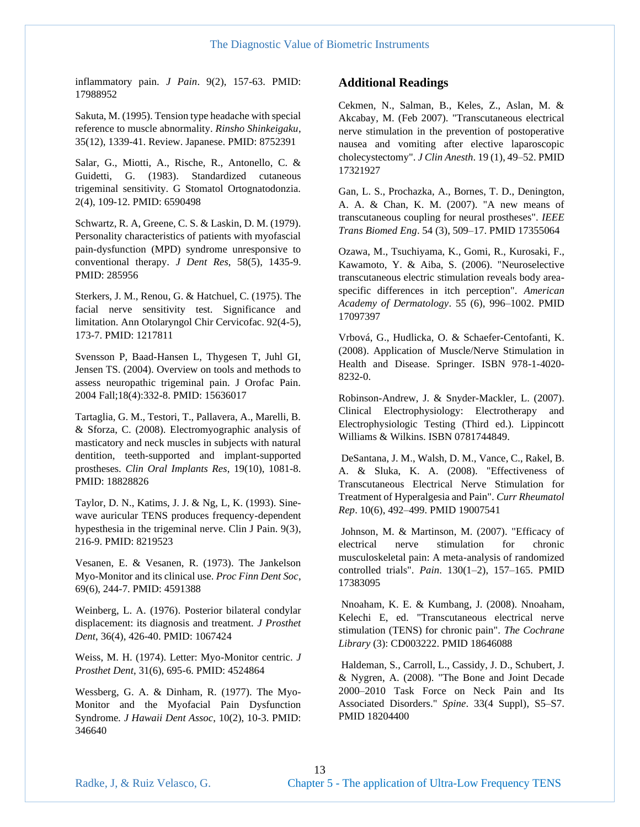inflammatory pain. *J Pain*. 9(2), 157-63. PMID: 17988952

Sakuta, M. (1995). Tension type headache with special reference to muscle abnormality. *Rinsho Shinkeigaku*, 35(12), 1339-41. Review. Japanese. PMID: 8752391

Salar, G., Miotti, A., Rische, R., Antonello, C. & Guidetti, G. (1983). Standardized cutaneous trigeminal sensitivity. G Stomatol Ortognatodonzia. 2(4), 109-12. PMID: 6590498

Schwartz, R. A, Greene, C. S. & Laskin, D. M. (1979). Personality characteristics of patients with myofascial pain-dysfunction (MPD) syndrome unresponsive to conventional therapy. *J Dent Res*, 58(5), 1435-9. PMID: 285956

Sterkers, J. M., Renou, G. & Hatchuel, C. (1975). The facial nerve sensitivity test. Significance and limitation. Ann Otolaryngol Chir Cervicofac. 92(4-5), 173-7. PMID: 1217811

Svensson P, Baad-Hansen L, Thygesen T, Juhl GI, Jensen TS. (2004). Overview on tools and methods to assess neuropathic trigeminal pain. J Orofac Pain. 2004 Fall;18(4):332-8. PMID: 15636017

Tartaglia, G. M., Testori, T., Pallavera, A., Marelli, B. & Sforza, C. (2008). Electromyographic analysis of masticatory and neck muscles in subjects with natural dentition, teeth-supported and implant-supported prostheses. *Clin Oral Implants Res*, 19(10), 1081-8. PMID: 18828826

Taylor, D. N., Katims, J. J. & Ng, L, K. (1993). Sinewave auricular TENS produces frequency-dependent hypesthesia in the trigeminal nerve. Clin J Pain. 9(3), 216-9. PMID: 8219523

Vesanen, E. & Vesanen, R. (1973). The Jankelson Myo-Monitor and its clinical use. *Proc Finn Dent Soc*, 69(6), 244-7. PMID: 4591388

Weinberg, L. A. (1976). Posterior bilateral condylar displacement: its diagnosis and treatment. *J Prosthet Dent*, 36(4), 426-40. PMID: 1067424

Weiss, M. H. (1974). Letter: Myo-Monitor centric. *J Prosthet Dent*, 31(6), 695-6. PMID: 4524864

Wessberg, G. A. & Dinham, R. (1977). The Myo-Monitor and the Myofacial Pain Dysfunction Syndrome. *J Hawaii Dent Assoc*, 10(2), 10-3. PMID: 346640

#### **Additional Readings**

Cekmen, N., Salman, B., Keles, Z., Aslan, M. & Akcabay, M. (Feb 2007). "Transcutaneous electrical nerve stimulation in the prevention of postoperative nausea and vomiting after elective laparoscopic cholecystectomy". *J Clin Anesth*. 19 (1), 49–52. PMID 17321927

Gan, L. S., Prochazka, A., Bornes, T. D., Denington, A. A. & Chan, K. M. (2007). "A new means of transcutaneous coupling for neural prostheses". *IEEE Trans Biomed Eng*. 54 (3), 509–17. PMID 17355064

Ozawa, M., Tsuchiyama, K., Gomi, R., Kurosaki, F., Kawamoto, Y. & Aiba, S. (2006). "Neuroselective transcutaneous electric stimulation reveals body areaspecific differences in itch perception". *American Academy of Dermatology*. 55 (6), 996–1002. PMID 17097397

Vrbová, G., Hudlicka, O. & Schaefer-Centofanti, K. (2008). Application of Muscle/Nerve Stimulation in Health and Disease. Springer. ISBN 978-1-4020- 8232-0.

Robinson-Andrew, J. & Snyder-Mackler, L. (2007). Clinical Electrophysiology: Electrotherapy and Electrophysiologic Testing (Third ed.). Lippincott Williams & Wilkins. ISBN 0781744849.

DeSantana, J. M., Walsh, D. M., Vance, C., Rakel, B. A. & Sluka, K. A. (2008). "Effectiveness of Transcutaneous Electrical Nerve Stimulation for Treatment of Hyperalgesia and Pain". *Curr Rheumatol Rep*. 10(6), 492–499. PMID 19007541

Johnson, M. & Martinson, M. (2007). "Efficacy of electrical nerve stimulation for chronic musculoskeletal pain: A meta-analysis of randomized controlled trials". *Pain*. 130(1–2), 157–165. PMID 17383095

Nnoaham, K. E. & Kumbang, J. (2008). Nnoaham, Kelechi E, ed. "Transcutaneous electrical nerve stimulation (TENS) for chronic pain". *The Cochrane Library* (3): CD003222. PMID 18646088

Haldeman, S., Carroll, L., Cassidy, J. D., Schubert, J. & Nygren, A. (2008). "The Bone and Joint Decade 2000–2010 Task Force on Neck Pain and Its Associated Disorders." *Spine*. 33(4 Suppl), S5–S7. PMID 18204400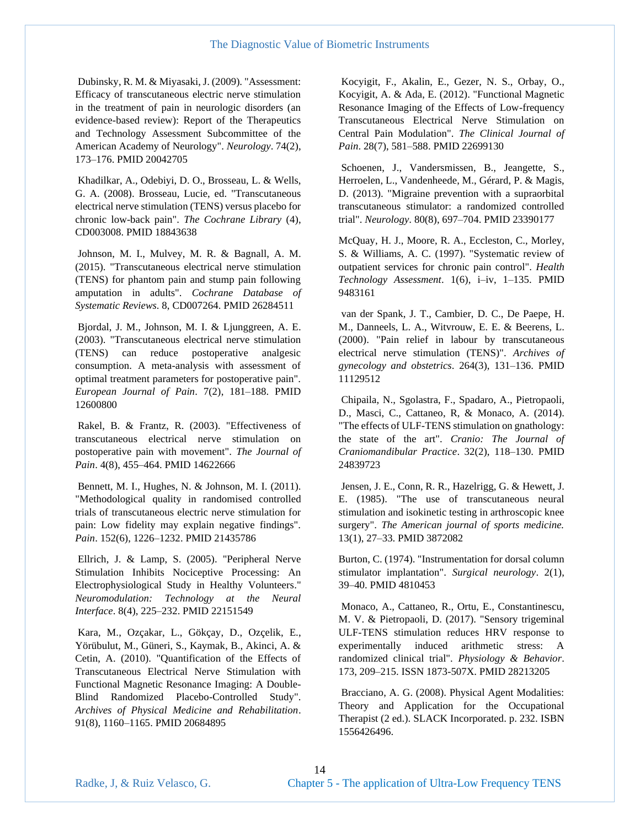Dubinsky, R. M. & Miyasaki, J. (2009). "Assessment: Efficacy of transcutaneous electric nerve stimulation in the treatment of pain in neurologic disorders (an evidence-based review): Report of the Therapeutics and Technology Assessment Subcommittee of the American Academy of Neurology". *Neurology*. 74(2), 173–176. PMID 20042705

Khadilkar, A., Odebiyi, D. O., Brosseau, L. & Wells, G. A. (2008). Brosseau, Lucie, ed. "Transcutaneous electrical nerve stimulation (TENS) versus placebo for chronic low-back pain". *The Cochrane Library* (4), CD003008. PMID 18843638

Johnson, M. I., Mulvey, M. R. & Bagnall, A. M. (2015). "Transcutaneous electrical nerve stimulation (TENS) for phantom pain and stump pain following amputation in adults". *Cochrane Database of Systematic Reviews*. 8, CD007264. PMID 26284511

Bjordal, J. M., Johnson, M. I. & Ljunggreen, A. E. (2003). "Transcutaneous electrical nerve stimulation (TENS) can reduce postoperative analgesic consumption. A meta-analysis with assessment of optimal treatment parameters for postoperative pain". *European Journal of Pain*. 7(2), 181–188. PMID 12600800

Rakel, B. & Frantz, R. (2003). "Effectiveness of transcutaneous electrical nerve stimulation on postoperative pain with movement". *The Journal of Pain*. 4(8), 455–464. PMID 14622666

Bennett, M. I., Hughes, N. & Johnson, M. I. (2011). "Methodological quality in randomised controlled trials of transcutaneous electric nerve stimulation for pain: Low fidelity may explain negative findings". *Pain*. 152(6), 1226–1232. PMID 21435786

Ellrich, J. & Lamp, S. (2005). "Peripheral Nerve Stimulation Inhibits Nociceptive Processing: An Electrophysiological Study in Healthy Volunteers." *Neuromodulation: Technology at the Neural Interface*. 8(4), 225–232. PMID 22151549

Kara, M., Ozçakar, L., Gökçay, D., Ozçelik, E., Yörübulut, M., Güneri, S., Kaymak, B., Akinci, A. & Cetin, A. (2010). "Quantification of the Effects of Transcutaneous Electrical Nerve Stimulation with Functional Magnetic Resonance Imaging: A Double-Blind Randomized Placebo-Controlled Study". *Archives of Physical Medicine and Rehabilitation*. 91(8), 1160–1165. PMID 20684895

Kocyigit, F., Akalin, E., Gezer, N. S., Orbay, O., Kocyigit, A. & Ada, E. (2012). "Functional Magnetic Resonance Imaging of the Effects of Low-frequency Transcutaneous Electrical Nerve Stimulation on Central Pain Modulation". *The Clinical Journal of Pain*. 28(7), 581–588. PMID 22699130

Schoenen, J., Vandersmissen, B., Jeangette, S., Herroelen, L., Vandenheede, M., Gérard, P. & Magis, D. (2013). "Migraine prevention with a supraorbital transcutaneous stimulator: a randomized controlled trial". *Neurology*. 80(8), 697–704. PMID 23390177

McQuay, H. J., Moore, R. A., Eccleston, C., Morley, S. & Williams, A. C. (1997). "Systematic review of outpatient services for chronic pain control". *Health Technology Assessment*. 1(6), i–iv, 1–135. PMID 9483161

van der Spank, J. T., Cambier, D. C., De Paepe, H. M., Danneels, L. A., Witvrouw, E. E. & Beerens, L. (2000). "Pain relief in labour by transcutaneous electrical nerve stimulation (TENS)". *Archives of gynecology and obstetrics*. 264(3), 131–136. PMID 11129512

Chipaila, N., Sgolastra, F., Spadaro, A., Pietropaoli, D., Masci, C., Cattaneo, R, & Monaco, A. (2014). "The effects of ULF-TENS stimulation on gnathology: the state of the art". *Cranio: The Journal of Craniomandibular Practice*. 32(2), 118–130. PMID 24839723

Jensen, J. E., Conn, R. R., Hazelrigg, G. & Hewett, J. E. (1985). "The use of transcutaneous neural stimulation and isokinetic testing in arthroscopic knee surgery". *The American journal of sports medicine.*  13(1), 27–33. PMID 3872082

Burton, C. (1974). "Instrumentation for dorsal column stimulator implantation". *Surgical neurology*. 2(1), 39–40. PMID 4810453

Monaco, A., Cattaneo, R., Ortu, E., Constantinescu, M. V. & Pietropaoli, D. (2017). "Sensory trigeminal ULF-TENS stimulation reduces HRV response to experimentally induced arithmetic stress: A randomized clinical trial". *Physiology & Behavior*. 173, 209–215. ISSN 1873-507X. PMID 28213205

Bracciano, A. G. (2008). Physical Agent Modalities: Theory and Application for the Occupational Therapist (2 ed.). SLACK Incorporated. p. 232. ISBN 1556426496.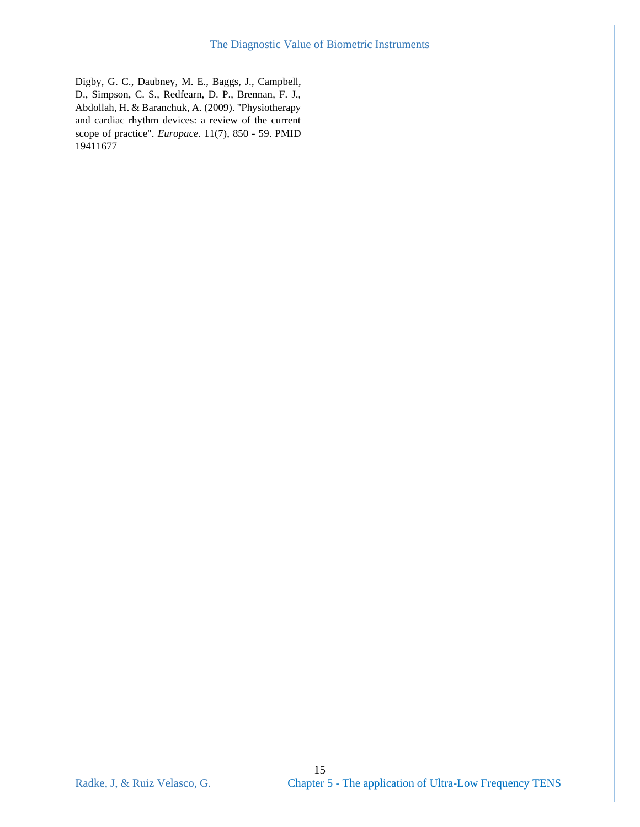Digby, G. C., Daubney, M. E., Baggs, J., Campbell, D., Simpson, C. S., Redfearn, D. P., Brennan, F. J., Abdollah, H. & Baranchuk, A. (2009). "Physiotherapy and cardiac rhythm devices: a review of the current scope of practice". *Europace*. 11(7), 850 - 59. PMID 19411677